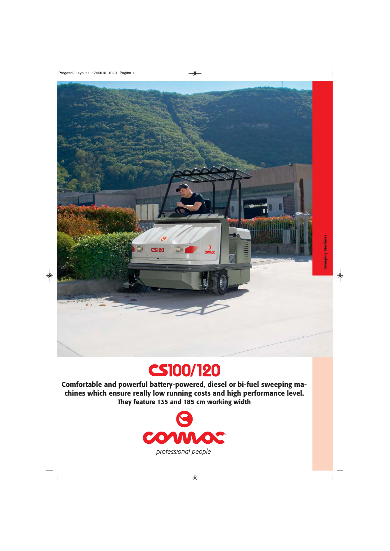



**Comfortable and powerful battery-powered, diesel or bi-fuel sweeping machines which ensure really low running costs and high performance level. They feature 135 and 185 cm working width**

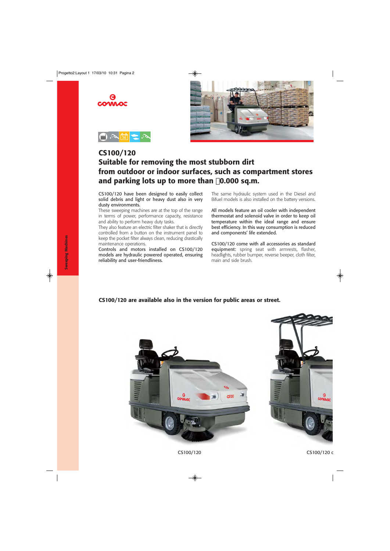





#### **CS100/120 Suitable for removing the most stubborn dirt from outdoor or indoor surfaces, such as compartment stores and parking lots up to more than 0.000 sq.m.**

CS100/120 have been designed to easily collect solid debris and light or heavy dust also in very dusty environments.

These sweeping machines are at the top of the range in terms of power, performance capacity, resistance and ability to perform heavy duty tasks.

They also feature an electric filter shaker that is directly controlled from a button on the instrument panel to keep the pocket filter always clean, reducing drastically maintenance operations.

Controls and motors installed on CS100/120 models are hydraulic powered operated, ensuring reliability and user-friendliness.

The same hydraulic system used in the Diesel and Bifuel models is also installed on the battery versions.

All models feature an oil cooler with independent thermostat and solenoid valve in order to keep oil temperature within the ideal range and ensure best efficiency. In this way consumption is reduced and components' life extended.

CS100/120 come with all accessories as standard equipment: spring seat with armrests, flasher, headlights, rubber bumper, reverse beeper, cloth filter, main and side brush.

#### **CS100/120 are available also in the version for public areas or street.**



**Sweeping Machines Sweeping Machines**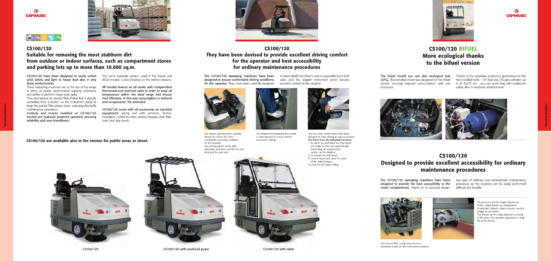

#### CS100/120 They have been devised to provide excellent driving comfort for the operator and best accessibility for ordinary maintenance procedures

The CS100/120 sweeping machines have been designed to ensure comfortable driving conditions for the operator. They have been carefully designed



The driver's seat has been carefully devised to ensure the most comfortable operating conditions for the operator: the steering wheel comes with adjustable inclination just like the seat back and the arm rests



The forward and backward drive pedal is servo-assisted to ensure smooth and precise driving

in every detail: the driver's seat is accessible from both sides and the elegant instrument panel ensures constant control of the situation.



The four main control levers have been arranged to make driving as easy as possible. The levers have the following functions:

- 1. To switch on and lower the main brush and make suction start automatically. Depending on requirements, suction can be disabled.
- 2. To operate the side brush.
- 3. Lever to open and close the cover of the debris hopper.
- 4. Lever for dirt hopper lifting



overhead guard

Heinri

CS100/120 with cabin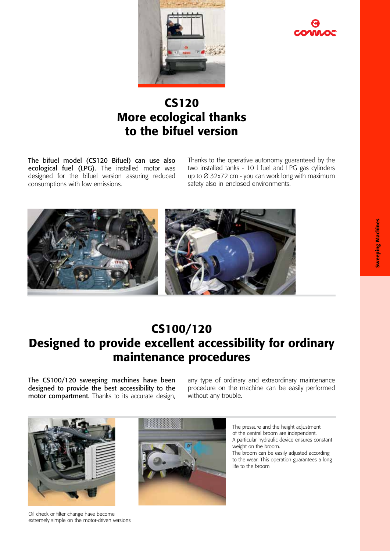



### CS120 More ecological thanks to the bifuel version

The bifuel model (CS120 Bifuel) can use also ecological fuel (LPG). The installed motor was designed for the bifuel version assuring reduced consumptions with low emissions.

Thanks to the operative autonomy guaranteed by the two installed tanks - 10 l fuel and LPG gas cylinders up to Ø 32x72 cm - you can work long with maximum safety also in enclosed environments.



## CS100/120 Designed to provide excellent accessibility for ordinary maintenance procedures

The CS100/120 sweeping machines have been designed to provide the best accessibility to the motor compartment. Thanks to its accurate design, any type of ordinary and extraordinary maintenance procedure on the machine can be easily performed without any trouble.



Oil check or filter change have become extremely simple on the motor-driven versions



The pressure and the height adjustment of the central broom are independent. A particular hydraulic device ensures constant weight on the broom. The broom can be easily adjusted according to the wear. This operation guarantees a long life to the broom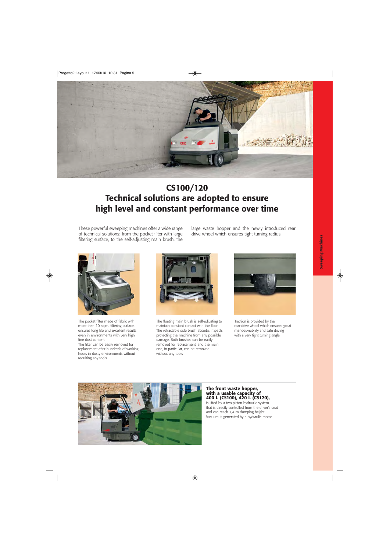

# **CS100/120 Technical solutions are adopted to ensure high level and constant performance over time**

These powerful sweeping machines offer a wide range of technical solutions: from the pocket filter with large filtering surface, to the self-adjusting main brush, the large waste hopper and the newly introduced rear drive wheel which ensures tight turning radius.



The pocket filter made of fabric with more than 10 sq.m. filtering surface, ensures long life and excellent results even in environments with very high fine dust content.

The filter can be easily removed for replacement after hundreds of working hours in dusty environments without requiring any tools



The floating main brush is self-adjusting to maintain constant contact with the floor. The retractable side brush absorbs impacts protecting the machine from any possible damage. Both brushes can be easily removed for replacement, and the main one, in particular, can be removed without any tools



Traction is provided by the rear-drive wheel which ensures great manoeuvrability and safe driving with a very tight turning angle



**The front waste hopper, with a usable capacity of 400 l. (CS100), 420 l. (CS120),**

is lifted by a two-piston hydraulic system that is directly controlled from the driver's seat and can reach 1,4 m dumping height. Vacuum is generated by a hydraulic motor